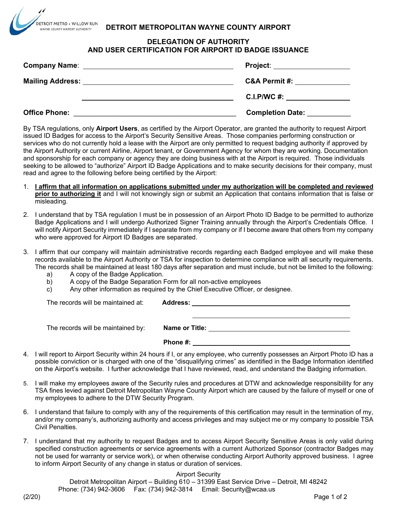## **DETROIT METROPOLITAN WAYNE COUNTY AIRPORT**

## **DELEGATION OF AUTHORITY AND USER CERTIFICATION FOR AIRPORT ID BADGE ISSUANCE**

|                         | Project: ____________________ |
|-------------------------|-------------------------------|
| <b>Mailing Address:</b> | <b>C&amp;A Permit #:</b>      |
|                         | C.I.P/WC #: _________________ |
| <b>Office Phone:</b>    | <b>Completion Date:</b>       |

By TSA regulations, only **Airport Users**, as certified by the Airport Operator, are granted the authority to request Airport issued ID Badges for access to the Airport's Security Sensitive Areas. Those companies performing construction or services who do not currently hold a lease with the Airport are only permitted to request badging authority if approved by the Airport Authority or current Airline, Airport tenant, or Government Agency for whom they are working. Documentation and sponsorship for each company or agency they are doing business with at the Airport is required. Those individuals seeking to be allowed to "authorize" Airport ID Badge Applications and to make security decisions for their company, must read and agree to the following before being certified by the Airport:

- 1. **I affirm that all information on applications submitted under my authorization will be completed and reviewed prior to authorizing it** and I will not knowingly sign or submit an Application that contains information that is false or misleading.
- 2. I understand that by TSA regulation I must be in possession of an Airport Photo ID Badge to be permitted to authorize Badge Applications and I will undergo Authorized Signer Training annually through the Airport's Credentials Office. I will notify Airport Security immediately if I separate from my company or if I become aware that others from my company who were approved for Airport ID Badges are separated.
- 3. I affirm that our company will maintain administrative records regarding each Badged employee and will make these records available to the Airport Authority or TSA for inspection to determine compliance with all security requirements. The records shall be maintained at least 180 days after separation and must include, but not be limited to the following:
	-

DETROIT METRO . WILLOW RUN AYNE COUNTY AIRPORT AUTHORITY

- a) A copy of the Badge Application.<br>b) A copy of the Badge Separation I A copy of the Badge Separation Form for all non-active employees
- c) Any other information as required by the Chief Executive Officer, or designee.

| The records will be maintained at: |                       |
|------------------------------------|-----------------------|
|                                    |                       |
| The records will be maintained by: | <b>Name or Title:</b> |
|                                    | Phone #:              |
|                                    |                       |

- 4. I will report to Airport Security within 24 hours if I, or any employee, who currently possesses an Airport Photo ID has a possible conviction or is charged with one of the "disqualifying crimes" as identified in the Badge Information identified on the Airport's website. I further acknowledge that I have reviewed, read, and understand the Badging information.
- 5. I will make my employees aware of the Security rules and procedures at DTW and acknowledge responsibility for any TSA fines levied against Detroit Metropolitan Wayne County Airport which are caused by the failure of myself or one of my employees to adhere to the DTW Security Program.
- 6. I understand that failure to comply with any of the requirements of this certification may result in the termination of my, and/or my company's, authorizing authority and access privileges and may subject me or my company to possible TSA Civil Penalties.
- 7. I understand that my authority to request Badges and to access Airport Security Sensitive Areas is only valid during specified construction agreements or service agreements with a current Authorized Sponsor (contractor Badges may not be used for warranty or service work), or when otherwise conducting Airport Authority approved business. I agree to inform Airport Security of any change in status or duration of services.

Airport Security

Detroit Metropolitan Airport – Building 610 – 31399 East Service Drive – Detroit, MI 48242 Phone: (734) 942-3606 Fax: (734) 942-3814 Email: Security@wcaa.us